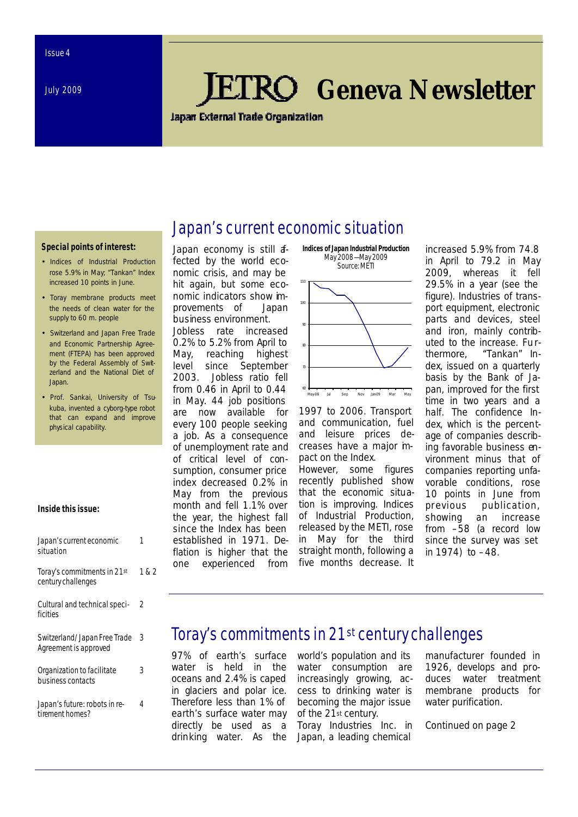July 2009

# *Geneva Newsletter*

**Japan External Trade Organization** 

Japan's current economic situation

#### **Special points of interest:**

- Indices of Industrial Production rose 5.9% in May; "Tankan" Index increased 10 points in June.
- *Toray* membrane products meet the needs of clean water for the supply to 60 m. people
- Switzerland and Japan Free Trade and Economic Partnership Agreement (FTEPA) has been approved by the Federal Assembly of Switzerland and the National Diet of **Japan**
- Prof. Sankai, University of Tsukuba, invented a cyborg-type robot that can expand and improve physical capability.

#### **Inside this issue:**

| Japan's current economic<br>situation                 |       |
|-------------------------------------------------------|-------|
| Toray's commitments in 21st<br>century challenges     | 1 & 2 |
| Cultural and technical speci-<br>ficities             | 2     |
| Switzerland/Japan Free Trade<br>Agreement is approved | 3     |
| Organization to facilitate<br>business contacts       | 3     |
| Japan's future: robots in re-<br>tirement homes?      | 4     |

Japan economy is still afected by the world economic crisis, and may be hit again, but some economic indicators show improvements of Japan business environment.

Jobless rate increased 0.2% to 5.2% from April to May, reaching highest level since September 2003. Jobless ratio fell from 0.46 in April to 0.44 in May. 44 job positions are now available for every 100 people seeking a job. As a consequence of unemployment rate and of critical level of consumption, consumer price index decreased 0.2% in May from the previous month and fell 1.1% over the year, the highest fall since the Index has been established in 1971. Deflation is higher that the one experienced from



1997 to 2006. Transport and communication, fuel and leisure prices decreases have a major impact on the Index. However, some figures

recently published show that the economic situation is improving. Indices of Industrial Production, released by the METI, rose in May for the third straight month, following a five months decrease. It

increased 5.9% from 74.8 in April to 79.2 in May 2009, whereas it fell 29.5% in a year (see the figure). Industries of transport equipment, electronic parts and devices, steel and iron, mainly contributed to the increase. Furthermore, "Tankan" Index, issued on a quarterly basis by the Bank of Japan, improved for the first time in two years and a half. The confidence Index, which is the percentage of companies describing favorable business environment minus that of companies reporting unfavorable conditions, rose 10 points in June from previous publication, showing an increase from –58 (a record low since the survey was set in 1974) to –48.

### Toray's commitments in 21st century challenges

97% of earth's surface water is held in the oceans and 2.4% is caped in glaciers and polar ice. Therefore less than 1% of earth's surface water may directly be used as a drinking water. As the world's population and its water consumption are increasingly growing, access to drinking water is becoming the major issue of the 21st century.

*Toray Industries Inc.* in Japan, a leading chemical

manufacturer founded in 1926, develops and produces water treatment membrane products for water purification.

*Continued on page 2*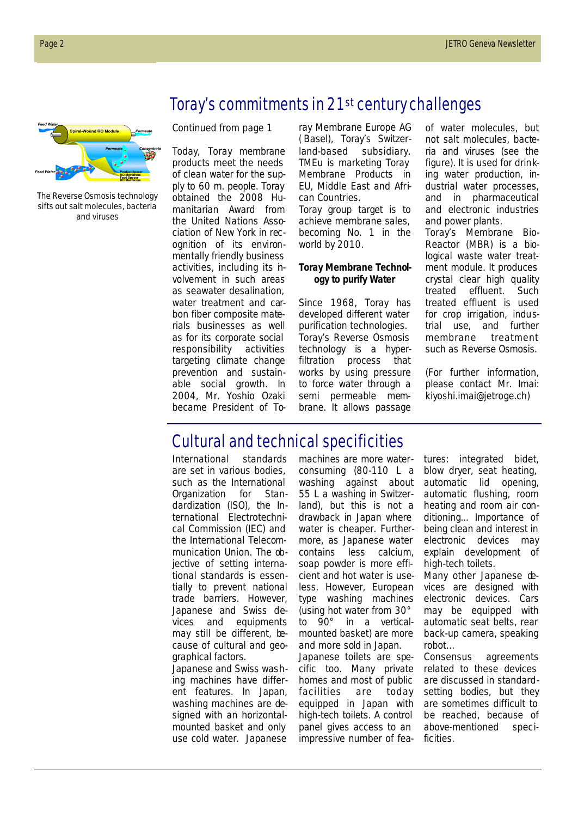### Toray's commitments in 21st century challenges



The Reverse Osmosis technology sifts out salt molecules, bacteria and viruses

*Continued from page 1*

Today, *Toray* membrane products meet the needs of clean water for the supply to 60 m. people. Toray obtained the 2008 Humanitarian Award from the United Nations Association of New York in recognition of its environmentally friendly business activities, including its hvolvement in such areas as seawater desalination, water treatment and carbon fiber composite materials businesses as well as for its corporate social responsibility activities targeting climate change prevention and sustainable social growth. In 2004, Mr. Yoshio Ozaki became President of *To-* *ray Membrane Europe AG ( Basel)*, Toray's Switzerland-based subsidiary. TMEu is marketing Toray Membrane Products in EU, Middle East and African Countries.

Toray group target is to achieve membrane sales, becoming No. 1 in the world by 2010.

#### *Toray Membrane Technology to purify Water*

Since 1968, *Toray* has developed different water purification technologies. *Toray's Reverse Osmosis technology* is a hyperfiltration process that works by using pressure to force water through a semi permeable membrane. It allows passage of water molecules, but not salt molecules, bacteria and viruses (see the figure). It is used for drinking water production, industrial water processes, and in pharmaceutical and electronic industries and power plants.

*Toray's Membrane Bio-Reactor (MBR)* is a biological waste water treatment module. It produces crystal clear high quality treated effluent. Such treated effluent is used for crop irrigation, industrial use, and further membrane treatment such as *Reverse Osmosis*.

(For further information, please contact Mr. Imai: kiyoshi.imai@jetroge.ch)

# Cultural and technical specificities

International standards are set in various bodies, such as the International Organization for Standardization (ISO), the International Electrotechnical Commission (IEC) and the International Telecommunication Union. The objective of setting international standards is essentially to prevent national trade barriers. However, Japanese and Swiss devices and equipments may still be different, because of cultural and geographical factors.

Japanese and Swiss washing machines have different features. In Japan, washing machines are designed with an horizontalmounted basket and only use cold water. Japanese

machines are more waterconsuming (80-110 L a washing against about 55 L a washing in Switzerland), but this is not a drawback in Japan where water is cheaper. Furthermore, as Japanese water contains less calcium, soap powder is more efficient and hot water is useless. However, European type washing machines (using hot water from 30° to 90° in a verticalmounted basket) are more and more sold in Japan. Japanese toilets are specific too. Many private homes and most of public facilities are today equipped in Japan with high-tech toilets. A control panel gives access to an impressive number of features: integrated bidet, blow dryer, seat heating, automatic lid opening, automatic flushing, room heating and room air conditioning... Importance of being clean and interest in electronic devices may explain development of high-tech toilets.

Many other Japanese devices are designed with electronic devices. Cars may be equipped with automatic seat belts, rear back-up camera, speaking robot…

Consensus agreements related to these devices are discussed in standardsetting bodies, but they are sometimes difficult to be reached, because of above-mentioned specificities.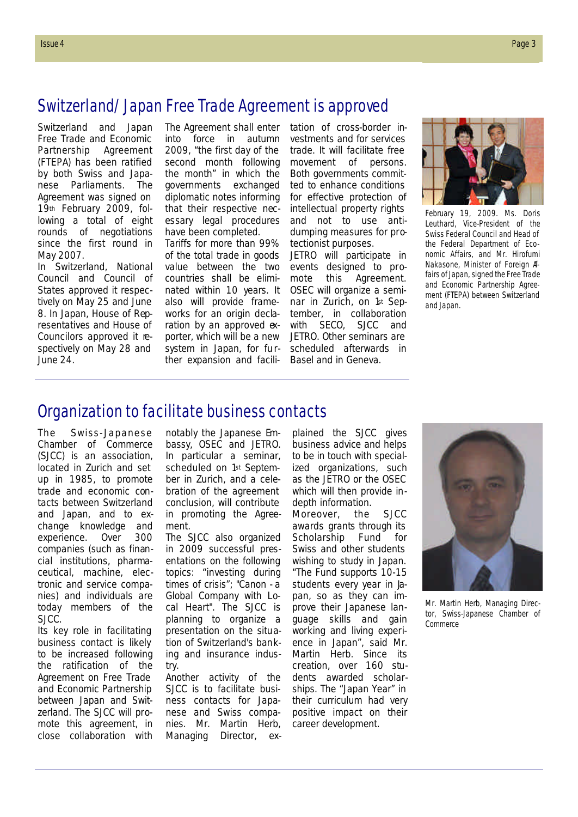#### Switzerland/Japan Free Trade Agreement is approved

Switzerland and Japan Free Trade and Economic Partnership Agreement (FTEPA) has been ratified by both Swiss and Japanese Parliaments. The Agreement was signed on 19th February 2009, following a total of eight rounds of negotiations since the first round in May 2007.

In Switzerland, National Council and Council of States approved it respectively on May 25 and June 8. In Japan, House of Representatives and House of Councilors approved it respectively on May 28 and June 24.

The Agreement shall enter into force in autumn 2009, "the first day of the second month following the month" in which the governments exchanged diplomatic notes informing that their respective necessary legal procedures have been completed.

Tariffs for more than 99% of the total trade in goods value between the two countries shall be eliminated within 10 years. It also will provide frameworks for an origin declaration by an approved  $ex$ porter, which will be a new system in Japan, for further expansion and facili-

tation of cross-border investments and for services trade. It will facilitate free movement of persons. Both governments committed to enhance conditions for effective protection of intellectual property rights and not to use antidumping measures for protectionist purposes.

JETRO will participate in events designed to promote this Agreement. OSEC will organize a seminar in Zurich, on 1st September, in collaboration with SECO, SJCC and JETRO. Other seminars are scheduled afterwards in Basel and in Geneva.



February 19, 2009. Ms. Doris Leuthard, Vice-President of the Swiss Federal Council and Head of the Federal Department of Economic Affairs, and Mr. Hirofumi Nakasone, Minister of Foreign Affairs of Japan, signed the Free Trade and Economic Partnership Agreement (FTEPA) between Switzerland and Japan.

#### Organization to facilitate business contacts

The Swiss-Japanese Chamber of Commerce (SJCC) is an association, located in Zurich and set up in 1985, to promote trade and economic contacts between Switzerland and Japan, and to exchange knowledge and experience. Over 300 companies (such as financial institutions, pharmaceutical, machine, electronic and service companies) and individuals are today members of the SJCC.

Its key role in facilitating business contact is likely to be increased following the ratification of the Agreement on Free Trade and Economic Partnership between Japan and Switzerland. The SJCC will promote this agreement, in close collaboration with

notably the Japanese Embassy, OSEC and JETRO. In particular a seminar, scheduled on 1st September in Zurich, and a celebration of the agreement conclusion, will contribute in promoting the Agreement.

The SJCC also organized in 2009 successful presentations on the following topics: "investing during times of crisis"; "Canon - a Global Company with Local Heart". The SJCC is planning to organize a presentation on the situation of Switzerland's banking and insurance industry.

Another activity of the SJCC is to facilitate business contacts for Japanese and Swiss companies. Mr. Martin Herb, Managing Director, ex-

plained the SJCC gives business advice and helps to be in touch with specialized organizations, such as the JETRO or the OSEC which will then provide indepth information.

Moreover, the SJCC awards grants through its Scholarship Fund for Swiss and other students wishing to study in Japan. "The Fund supports 10-15 students every year in bpan, so as they can improve their Japanese language skills and gain working and living experience in Japan", said Mr. Martin Herb. Since its creation, over 160 students awarded scholarships. The "Japan Year" in their curriculum had very positive impact on their career development.



Mr. Martin Herb, Managing Director, Swiss-Japanese Chamber of Commerce